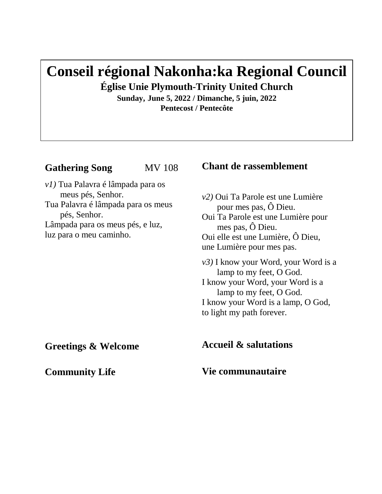# **Conseil régional Nakonha:ka Regional Council**

**Église Unie Plymouth-Trinity United Church** 

**Sunday, June 5, 2022 / Dimanche, 5 juin, 2022 Pentecost / Pentecôte**

# **Gathering Song** MV 108

*v1)* Tua Palavra é lâmpada para os meus pés, Senhor. Tua Palavra é lâmpada para os meus pés, Senhor. Lâmpada para os meus pés, e luz, luz para o meu caminho.

# **Chant de rassemblement**

*v2)* Oui Ta Parole est une Lumière pour mes pas, Ô Dieu. Oui Ta Parole est une Lumière pour mes pas, Ô Dieu. Oui elle est une Lumière, Ô Dieu, une Lumière pour mes pas. *v3)* I know your Word, your Word is a lamp to my feet, O God. I know your Word, your Word is a

 lamp to my feet, O God. I know your Word is a lamp, O God, to light my path forever.

**Accueil & salutations**

**Vie communautaire**

**Greetings & Welcome**

**Community Life**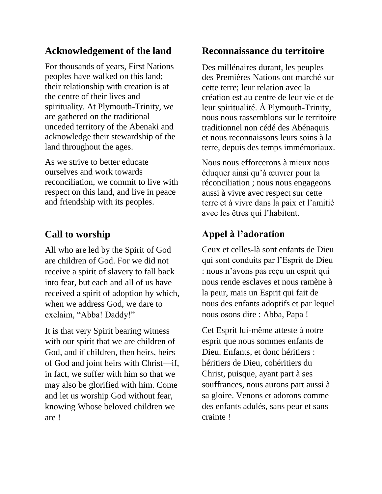# **Acknowledgement of the land**

For thousands of years, First Nations peoples have walked on this land; their relationship with creation is at the centre of their lives and spirituality. At Plymouth-Trinity, we are gathered on the traditional unceded territory of the Abenaki and acknowledge their stewardship of the land throughout the ages.

As we strive to better educate ourselves and work towards reconciliation, we commit to live with respect on this land, and live in peace and friendship with its peoples.

# **Call to worship**

All who are led by the Spirit of God are children of God. For we did not receive a spirit of slavery to fall back into fear, but each and all of us have received a spirit of adoption by which, when we address God, we dare to exclaim, "Abba! Daddy!"

It is that very Spirit bearing witness with our spirit that we are children of God, and if children, then heirs, heirs of God and joint heirs with Christ—if, in fact, we suffer with him so that we may also be glorified with him. Come and let us worship God without fear, knowing Whose beloved children we are !

## **Reconnaissance du territoire**

Des millénaires durant, les peuples des Premières Nations ont marché sur cette terre; leur relation avec la création est au centre de leur vie et de leur spiritualité. À Plymouth-Trinity, nous nous rassemblons sur le territoire traditionnel non cédé des Abénaquis et nous reconnaissons leurs soins à la terre, depuis des temps immémoriaux.

Nous nous efforcerons à mieux nous éduquer ainsi qu'à œuvrer pour la réconciliation ; nous nous engageons aussi à vivre avec respect sur cette terre et à vivre dans la paix et l'amitié avec les êtres qui l'habitent.

# **Appel à l'adoration**

Ceux et celles-là sont enfants de Dieu qui sont conduits par l'Esprit de Dieu : nous n'avons pas reçu un esprit qui nous rende esclaves et nous ramène à la peur, mais un Esprit qui fait de nous des enfants adoptifs et par lequel nous osons dire : Abba, Papa !

Cet Esprit lui-même atteste à notre esprit que nous sommes enfants de Dieu. Enfants, et donc héritiers : héritiers de Dieu, cohéritiers du Christ, puisque, ayant part à ses souffrances, nous aurons part aussi à sa gloire. Venons et adorons comme des enfants adulés, sans peur et sans crainte !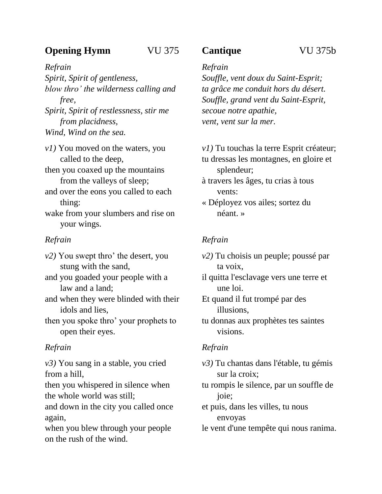# **Opening Hymn** VU 375

*Refrain Spirit, Spirit of gentleness, blow thro' the wilderness calling and free, Spirit, Spirit of restlessness, stir me from placidness,*

*Wind, Wind on the sea.*

*v1)* You moved on the waters, you called to the deep,

then you coaxed up the mountains from the valleys of sleep;

and over the eons you called to each thing:

wake from your slumbers and rise on your wings.

## *Refrain*

*v2)* You swept thro' the desert, you stung with the sand,

and you goaded your people with a law and a land;

and when they were blinded with their idols and lies,

then you spoke thro' your prophets to open their eyes.

## *Refrain*

*v3)* You sang in a stable, you cried from a hill,

then you whispered in silence when the whole world was still;

and down in the city you called once again,

when you blew through your people on the rush of the wind.

# **Cantique** VU 375b

## *Refrain*

*Souffle, vent doux du Saint-Esprit; ta grâce me conduit hors du désert. Souffle, grand vent du Saint-Esprit, secoue notre apathie, vent, vent sur la mer.*

*v1)* Tu touchas la terre Esprit créateur; tu dressas les montagnes, en gloire et splendeur;

à travers les âges, tu crias à tous vents:

« Déployez vos ailes; sortez du néant. »

## *Refrain*

*v2)* Tu choisis un peuple; poussé par ta voix,

il quitta l'esclavage vers une terre et une loi.

Et quand il fut trompé par des illusions,

tu donnas aux prophètes tes saintes visions.

## *Refrain*

*v3)* Tu chantas dans l'étable, tu gémis sur la croix;

tu rompis le silence, par un souffle de joie;

et puis, dans les villes, tu nous envoyas

le vent d'une tempête qui nous ranima.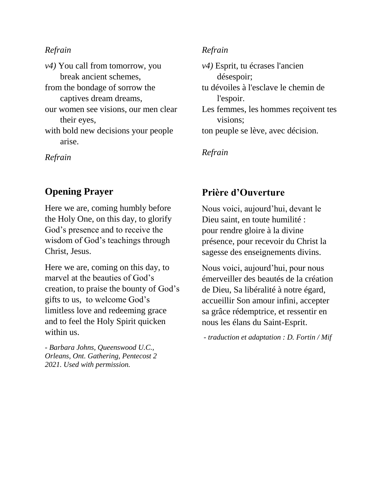#### *Refrain*

| $\nu$ 4) You call from tomorrow, you |
|--------------------------------------|
| break ancient schemes,               |
| from the bondage of sorrow the       |
| captives dream dreams,               |
| our women see visions, our men clear |
| their eyes,                          |
| with bold new decisions your people  |
| arise.                               |
|                                      |

*Refrain*

# **Opening Prayer**

Here we are, coming humbly before the Holy One, on this day, to glorify God's presence and to receive the wisdom of God's teachings through Christ, Jesus.

Here we are, coming on this day, to marvel at the beauties of God's creation, to praise the bounty of God's gifts to us, to welcome God's limitless love and redeeming grace and to feel the Holy Spirit quicken within us.

*- Barbara Johns, Queenswood U.C., Orleans, Ont. Gathering, Pentecost 2 2021. Used with permission.*

## *Refrain*

| $v4$ ) Esprit, tu écrases l'ancien   |
|--------------------------------------|
| désespoir;                           |
| tu dévoiles à l'esclave le chemin de |
| l'espoir.                            |
| Les femmes, les hommes reçoivent tes |
| visions;                             |
| ton peuple se lève, avec décision.   |

*Refrain*

# **Prière d'Ouverture**

Nous voici, aujourd'hui, devant le Dieu saint, en toute humilité : pour rendre gloire à la divine présence, pour recevoir du Christ la sagesse des enseignements divins.

Nous voici, aujourd'hui, pour nous émerveiller des beautés de la création de Dieu, Sa libéralité à notre égard, accueillir Son amour infini, accepter sa grâce rédemptrice, et ressentir en nous les élans du Saint-Esprit.

*- traduction et adaptation : D. Fortin / Mif*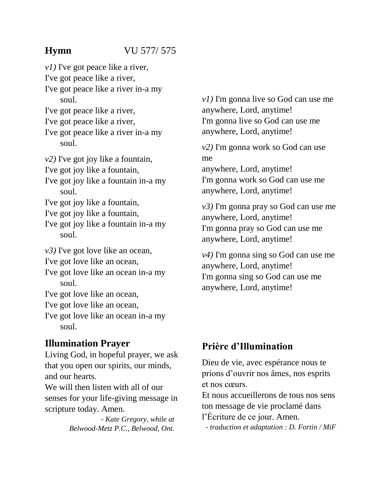# **Hymn** VU 577/ 575

*v1)* I've got peace like a river, I've got peace like a river, I've got peace like a river in-a my soul. I've got peace like a river, I've got peace like a river, I've got peace like a river in-a my soul. *v2)* I've got joy like a fountain, I've got joy like a fountain, I've got joy like a fountain in-a my soul. I've got joy like a fountain, I've got joy like a fountain, I've got joy like a fountain in-a my soul. *v3)* I've got love like an ocean, I've got love like an ocean, I've got love like an ocean in-a my soul. I've got love like an ocean, I've got love like an ocean, I've got love like an ocean in-a my soul.

# **Illumination Prayer**

Living God, in hopeful prayer, we ask that you open our spirits, our minds, and our hearts.

We will then listen with all of our senses for your life-giving message in scripture today. Amen.

> *- Kate Gregory, while at Belwood-Metz P.C., Belwood, Ont.*

*v1)* I'm gonna live so God can use me anywhere, Lord, anytime! I'm gonna live so God can use me anywhere, Lord, anytime!

*v2)* I'm gonna work so God can use me anywhere, Lord, anytime! I'm gonna work so God can use me anywhere, Lord, anytime!

*v3)* I'm gonna pray so God can use me anywhere, Lord, anytime! I'm gonna pray so God can use me anywhere, Lord, anytime!

*v4)* I'm gonna sing so God can use me anywhere, Lord, anytime! I'm gonna sing so God can use me anywhere, Lord, anytime!

# **Prière d'Illumination**

Dieu de vie, avec espérance nous te prions d'ouvrir nos âmes, nos esprits et nos cœurs.

Et nous accueillerons de tous nos sens ton message de vie proclamé dans l'Écriture de ce jour. Amen.

*- traduction et adaptation : D. Fortin / MiF*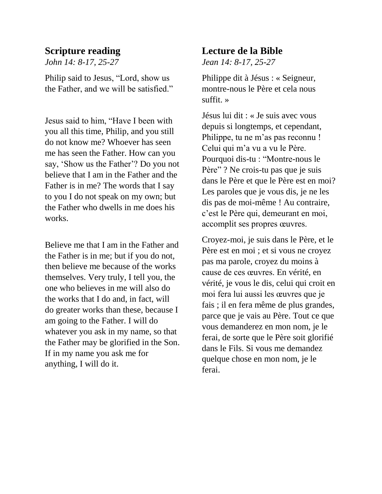## **Scripture reading**

*John 14: 8-17, 25-27*

Philip said to Jesus, "Lord, show us the Father, and we will be satisfied."

Jesus said to him, "Have I been with you all this time, Philip, and you still do not know me? Whoever has seen me has seen the Father. How can you say, 'Show us the Father'? Do you not believe that I am in the Father and the Father is in me? The words that I say to you I do not speak on my own; but the Father who dwells in me does his works.

Believe me that I am in the Father and the Father is in me; but if you do not, then believe me because of the works themselves. Very truly, I tell you, the one who believes in me will also do the works that I do and, in fact, will do greater works than these, because I am going to the Father. I will do whatever you ask in my name, so that the Father may be glorified in the Son. If in my name you ask me for anything, I will do it.

## **Lecture de la Bible**

*Jean 14: 8-17, 25-27*

Philippe dit à Jésus : « Seigneur, montre-nous le Père et cela nous suffit. »

Jésus lui dit : « Je suis avec vous depuis si longtemps, et cependant, Philippe, tu ne m'as pas reconnu ! Celui qui m'a vu a vu le Père. Pourquoi dis-tu : "Montre-nous le Père" ? Ne crois-tu pas que je suis dans le Père et que le Père est en moi? Les paroles que je vous dis, je ne les dis pas de moi-même ! Au contraire, c'est le Père qui, demeurant en moi, accomplit ses propres œuvres.

Croyez-moi, je suis dans le Père, et le Père est en moi ; et si vous ne croyez pas ma parole, croyez du moins à cause de ces œuvres. En vérité, en vérité, je vous le dis, celui qui croit en moi fera lui aussi les œuvres que je fais ; il en fera même de plus grandes, parce que je vais au Père. Tout ce que vous demanderez en mon nom, je le ferai, de sorte que le Père soit glorifié dans le Fils. Si vous me demandez quelque chose en mon nom, je le ferai.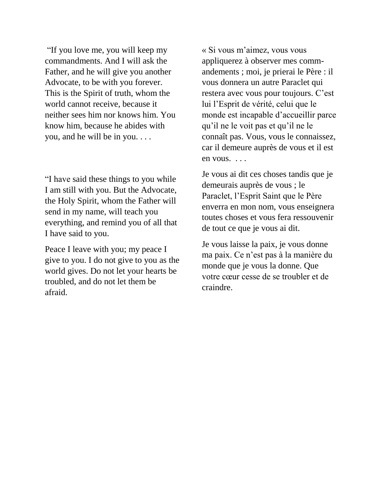"If you love me, you will keep my commandments. And I will ask the Father, and he will give you another Advocate, to be with you forever. This is the Spirit of truth, whom the world cannot receive, because it neither sees him nor knows him. You know him, because he abides with you, and he will be in you. . . .

"I have said these things to you while I am still with you. But the Advocate, the Holy Spirit, whom the Father will send in my name, will teach you everything, and remind you of all that I have said to you.

Peace I leave with you; my peace I give to you. I do not give to you as the world gives. Do not let your hearts be troubled, and do not let them be afraid.

« Si vous m'aimez, vous vous appliquerez à observer mes commandements ; moi, je prierai le Père : il vous donnera un autre Paraclet qui restera avec vous pour toujours. C'est lui l'Esprit de vérité, celui que le monde est incapable d'accueillir parce qu'il ne le voit pas et qu'il ne le connaît pas. Vous, vous le connaissez, car il demeure auprès de vous et il est en vous. . . .

Je vous ai dit ces choses tandis que je demeurais auprès de vous ; le Paraclet, l'Esprit Saint que le Père enverra en mon nom, vous enseignera toutes choses et vous fera ressouvenir de tout ce que je vous ai dit.

Je vous laisse la paix, je vous donne ma paix. Ce n'est pas à la manière du monde que je vous la donne. Que votre cœur cesse de se troubler et de craindre.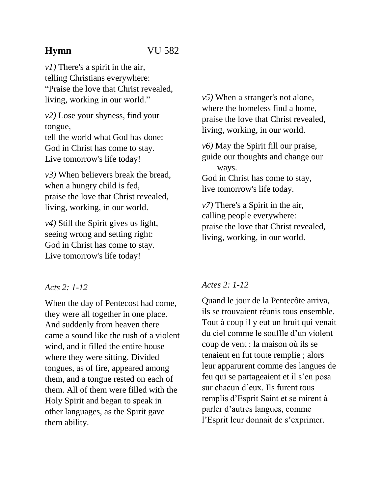# **Hymn** VU 582

*v1)* There's a spirit in the air, telling Christians everywhere: "Praise the love that Christ revealed, living, working in our world."

*v2)* Lose your shyness, find your tongue,

tell the world what God has done: God in Christ has come to stay. Live tomorrow's life today!

*v3)* When believers break the bread, when a hungry child is fed, praise the love that Christ revealed, living, working, in our world.

*v4)* Still the Spirit gives us light, seeing wrong and setting right: God in Christ has come to stay. Live tomorrow's life today!

## *Acts 2: 1-12*

When the day of Pentecost had come, they were all together in one place. And suddenly from heaven there came a sound like the rush of a violent wind, and it filled the entire house where they were sitting. Divided tongues, as of fire, appeared among them, and a tongue rested on each of them. All of them were filled with the Holy Spirit and began to speak in other languages, as the Spirit gave them ability.

*v5)* When a stranger's not alone, where the homeless find a home, praise the love that Christ revealed, living, working, in our world.

*v6)* May the Spirit fill our praise, guide our thoughts and change our ways.

God in Christ has come to stay, live tomorrow's life today.

*v7)* There's a Spirit in the air, calling people everywhere: praise the love that Christ revealed, living, working, in our world.

# *Actes 2: 1-12*

Quand le jour de la Pentecôte arriva, ils se trouvaient réunis tous ensemble. Tout à coup il y eut un bruit qui venait du ciel comme le souffle d'un violent coup de vent : la maison où ils se tenaient en fut toute remplie ; alors leur apparurent comme des langues de feu qui se partageaient et il s'en posa sur chacun d'eux. Ils furent tous remplis d'Esprit Saint et se mirent à parler d'autres langues, comme l'Esprit leur donnait de s'exprimer.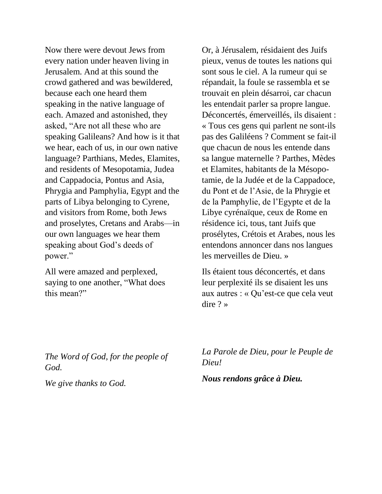Now there were devout Jews from every nation under heaven living in Jerusalem. And at this sound the crowd gathered and was bewildered, because each one heard them speaking in the native language of each. Amazed and astonished, they asked, "Are not all these who are speaking Galileans? And how is it that we hear, each of us, in our own native language? Parthians, Medes, Elamites, and residents of Mesopotamia, Judea and Cappadocia, Pontus and Asia, Phrygia and Pamphylia, Egypt and the parts of Libya belonging to Cyrene, and visitors from Rome, both Jews and proselytes, Cretans and Arabs—in our own languages we hear them speaking about God's deeds of power."

All were amazed and perplexed, saying to one another, "What does this mean?"

*The Word of God, for the people of God.*

*We give thanks to God.*

Or, à Jérusalem, résidaient des Juifs pieux, venus de toutes les nations qui sont sous le ciel. A la rumeur qui se répandait, la foule se rassembla et se trouvait en plein désarroi, car chacun les entendait parler sa propre langue. Déconcertés, émerveillés, ils disaient : « Tous ces gens qui parlent ne sont-ils pas des Galiléens ? Comment se fait-il que chacun de nous les entende dans sa langue maternelle ? Parthes, Mèdes et Elamites, habitants de la Mésopotamie, de la Judée et de la Cappadoce, du Pont et de l'Asie, de la Phrygie et de la Pamphylie, de l'Egypte et de la Libye cyrénaïque, ceux de Rome en résidence ici, tous, tant Juifs que prosélytes, Crétois et Arabes, nous les entendons annoncer dans nos langues les merveilles de Dieu. »

Ils étaient tous déconcertés, et dans leur perplexité ils se disaient les uns aux autres : « Qu'est-ce que cela veut dire ? »

*La Parole de Dieu, pour le Peuple de Dieu!*

*Nous rendons grâce à Dieu.*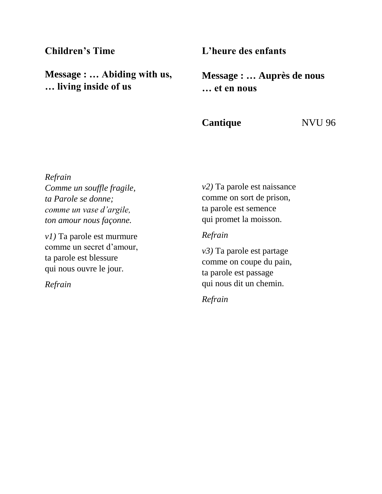## **Children's Time**

**Message : … Abiding with us, … living inside of us**

## **L'heure des enfants**

**Message : … Auprès de nous … et en nous**

**Cantique** NVU 96

*Refrain Comme un souffle fragile, ta Parole se donne; comme un vase d'argile, ton amour nous façonne.*

*v1)* Ta parole est murmure comme un secret d'amour, ta parole est blessure qui nous ouvre le jour.

*Refrain*

*v2)* Ta parole est naissance comme on sort de prison, ta parole est semence qui promet la moisson.

### *Refrain*

*v3)* Ta parole est partage comme on coupe du pain, ta parole est passage qui nous dit un chemin.

*Refrain*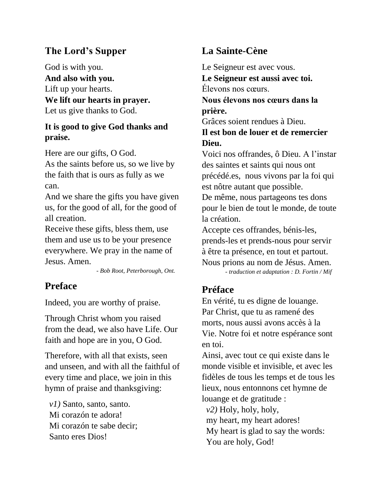# **The Lord's Supper**

God is with you. **And also with you.** Lift up your hearts. **We lift our hearts in prayer.** Let us give thanks to God.

## **It is good to give God thanks and praise.**

Here are our gifts, O God. As the saints before us, so we live by the faith that is ours as fully as we can.

And we share the gifts you have given us, for the good of all, for the good of all creation.

Receive these gifts, bless them, use them and use us to be your presence everywhere. We pray in the name of Jesus. Amen.

 *- Bob Root, Peterborough, Ont.*

# **Preface**

Indeed, you are worthy of praise.

Through Christ whom you raised from the dead, we also have Life. Our faith and hope are in you, O God.

Therefore, with all that exists, seen and unseen, and with all the faithful of every time and place, we join in this hymn of praise and thanksgiving:

 *v1)* Santo, santo, santo. Mi corazón te adora! Mi corazón te sabe decir; Santo eres Dios!

# **La Sainte-Cène**

Le Seigneur est avec vous. **Le Seigneur est aussi avec toi.** Élevons nos cœurs. **Nous élevons nos cœurs dans la prière.** Grâces soient rendues à Dieu. **Il est bon de louer et de remercier Dieu.** Voici nos offrandes, ô Dieu. A l'instar des saintes et saints qui nous ont précédé.es, nous vivons par la foi qui est nôtre autant que possible.

De même, nous partageons tes dons pour le bien de tout le monde, de toute la création.

Accepte ces offrandes, bénis-les, prends-les et prends-nous pour servir à être ta présence, en tout et partout. Nous prions au nom de Jésus. Amen.  *- traduction et adaptation : D. Fortin / Mif*

# **Préface**

En vérité, tu es digne de louange. Par Christ, que tu as ramené des morts, nous aussi avons accès à la Vie. Notre foi et notre espérance sont en toi.

Ainsi, avec tout ce qui existe dans le monde visible et invisible, et avec les fidèles de tous les temps et de tous les lieux, nous entonnons cet hymne de louange et de gratitude :

 *v2)* Holy, holy, holy,

my heart, my heart adores!

 My heart is glad to say the words: You are holy, God!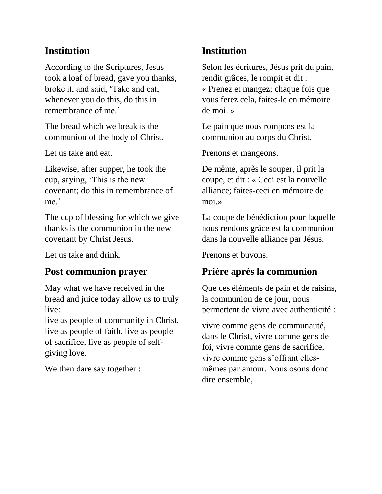# **Institution**

According to the Scriptures, Jesus took a loaf of bread, gave you thanks, broke it, and said, 'Take and eat; whenever you do this, do this in remembrance of me.'

The bread which we break is the communion of the body of Christ.

Let us take and eat.

Likewise, after supper, he took the cup, saying, 'This is the new covenant; do this in remembrance of me.'

The cup of blessing for which we give thanks is the communion in the new covenant by Christ Jesus.

Let us take and drink.

# **Post communion prayer**

May what we have received in the bread and juice today allow us to truly live:

live as people of community in Christ, live as people of faith, live as people of sacrifice, live as people of selfgiving love.

We then dare say together :

# **Institution**

Selon les écritures, Jésus prit du pain, rendit grâces, le rompit et dit : « Prenez et mangez; chaque fois que vous ferez cela, faites-le en mémoire de moi. »

Le pain que nous rompons est la communion au corps du Christ.

Prenons et mangeons.

De même, après le souper, il prit la coupe, et dit : « Ceci est la nouvelle alliance; faites-ceci en mémoire de moi.»

La coupe de bénédiction pour laquelle nous rendons grâce est la communion dans la nouvelle alliance par Jésus.

Prenons et buvons.

# **Prière après la communion**

Que ces éléments de pain et de raisins, la communion de ce jour, nous permettent de vivre avec authenticité :

vivre comme gens de communauté, dans le Christ, vivre comme gens de foi, vivre comme gens de sacrifice, vivre comme gens s'offrant ellesmêmes par amour. Nous osons donc dire ensemble,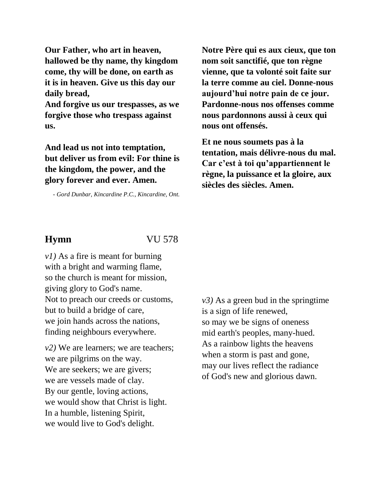**Our Father, who art in heaven, hallowed be thy name, thy kingdom come, thy will be done, on earth as it is in heaven. Give us this day our daily bread,**

**And forgive us our trespasses, as we forgive those who trespass against us.**

**And lead us not into temptation, but deliver us from evil: For thine is the kingdom, the power, and the glory forever and ever. Amen.**

*- Gord Dunbar, Kincardine P.C., Kincardine, Ont.*

**Notre Père qui es aux cieux, que ton nom soit sanctifié, que ton règne vienne, que ta volonté soit faite sur la terre comme au ciel. Donne-nous aujourd'hui notre pain de ce jour. Pardonne-nous nos offenses comme nous pardonnons aussi à ceux qui nous ont offensés.** 

**Et ne nous soumets pas à la tentation, mais délivre-nous du mal. Car c'est à toi qu'appartiennent le règne, la puissance et la gloire, aux siècles des siècles. Amen.**

**Hymn** VU 578

*v1)* As a fire is meant for burning with a bright and warming flame, so the church is meant for mission, giving glory to God's name. Not to preach our creeds or customs, but to build a bridge of care, we join hands across the nations, finding neighbours everywhere.

*v2)* We are learners; we are teachers; we are pilgrims on the way. We are seekers; we are givers; we are vessels made of clay. By our gentle, loving actions, we would show that Christ is light. In a humble, listening Spirit, we would live to God's delight.

*v3)* As a green bud in the springtime is a sign of life renewed, so may we be signs of oneness mid earth's peoples, many-hued. As a rainbow lights the heavens when a storm is past and gone, may our lives reflect the radiance of God's new and glorious dawn.